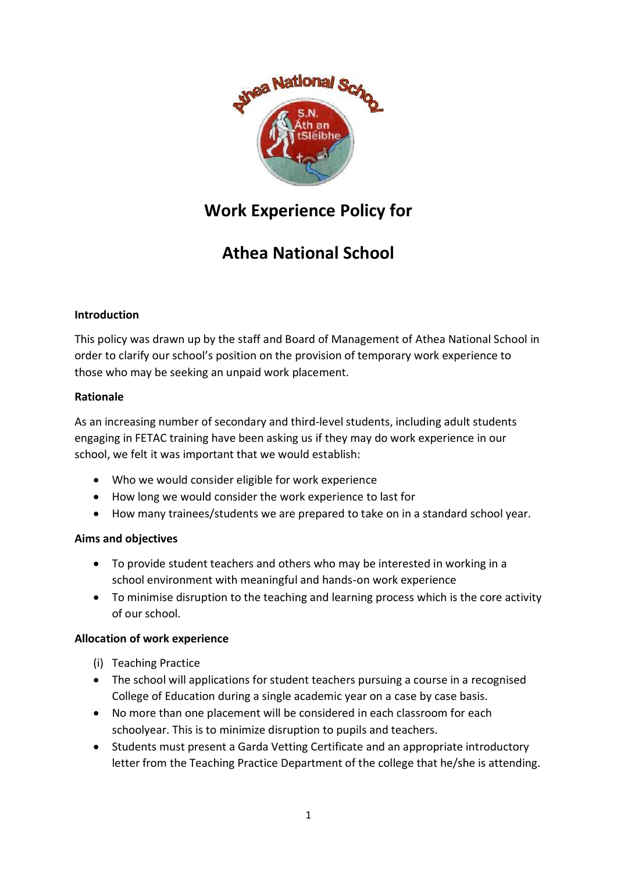

# **Work Experience Policy for**

# **Athea National School**

### **Introduction**

This policy was drawn up by the staff and Board of Management of Athea National School in order to clarify our school's position on the provision of temporary work experience to those who may be seeking an unpaid work placement.

### **Rationale**

As an increasing number of secondary and third-level students, including adult students engaging in FETAC training have been asking us if they may do work experience in our school, we felt it was important that we would establish:

- Who we would consider eligible for work experience
- How long we would consider the work experience to last for
- How many trainees/students we are prepared to take on in a standard school year.

### **Aims and objectives**

- To provide student teachers and others who may be interested in working in a school environment with meaningful and hands-on work experience
- To minimise disruption to the teaching and learning process which is the core activity of our school.

### **Allocation of work experience**

- (i) Teaching Practice
- The school will applications for student teachers pursuing a course in a recognised College of Education during a single academic year on a case by case basis.
- No more than one placement will be considered in each classroom for each schoolyear. This is to minimize disruption to pupils and teachers.
- Students must present a Garda Vetting Certificate and an appropriate introductory letter from the Teaching Practice Department of the college that he/she is attending.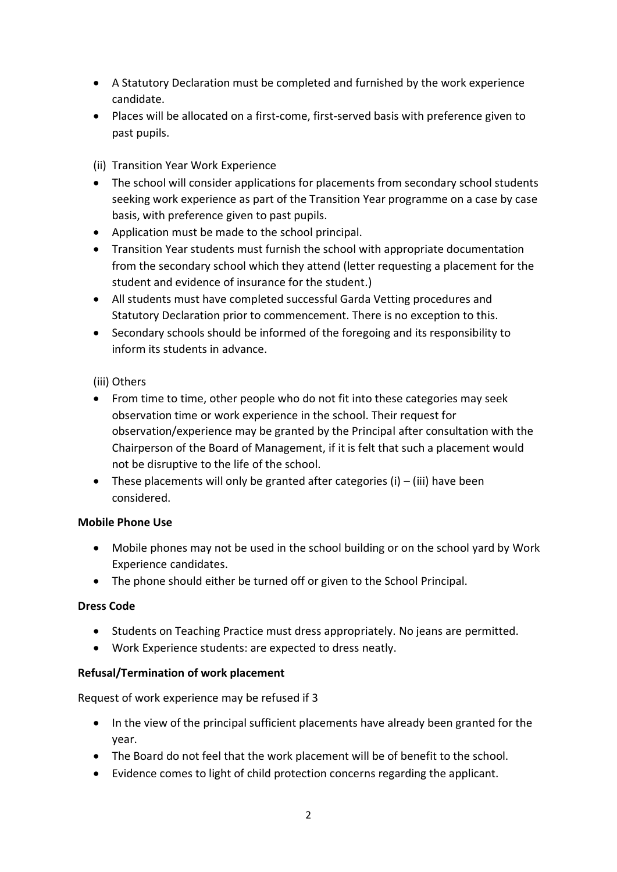- A Statutory Declaration must be completed and furnished by the work experience candidate.
- Places will be allocated on a first-come, first-served basis with preference given to past pupils.

(ii) Transition Year Work Experience

- The school will consider applications for placements from secondary school students seeking work experience as part of the Transition Year programme on a case by case basis, with preference given to past pupils.
- Application must be made to the school principal.
- Transition Year students must furnish the school with appropriate documentation from the secondary school which they attend (letter requesting a placement for the student and evidence of insurance for the student.)
- All students must have completed successful Garda Vetting procedures and Statutory Declaration prior to commencement. There is no exception to this.
- Secondary schools should be informed of the foregoing and its responsibility to inform its students in advance.

### (iii) Others

- From time to time, other people who do not fit into these categories may seek observation time or work experience in the school. Their request for observation/experience may be granted by the Principal after consultation with the Chairperson of the Board of Management, if it is felt that such a placement would not be disruptive to the life of the school.
- These placements will only be granted after categories (i)  $-$  (iii) have been considered.

### **Mobile Phone Use**

- Mobile phones may not be used in the school building or on the school yard by Work Experience candidates.
- The phone should either be turned off or given to the School Principal.

### **Dress Code**

- Students on Teaching Practice must dress appropriately. No jeans are permitted.
- Work Experience students: are expected to dress neatly.

### **Refusal/Termination of work placement**

Request of work experience may be refused if 3

- In the view of the principal sufficient placements have already been granted for the year.
- The Board do not feel that the work placement will be of benefit to the school.
- Evidence comes to light of child protection concerns regarding the applicant.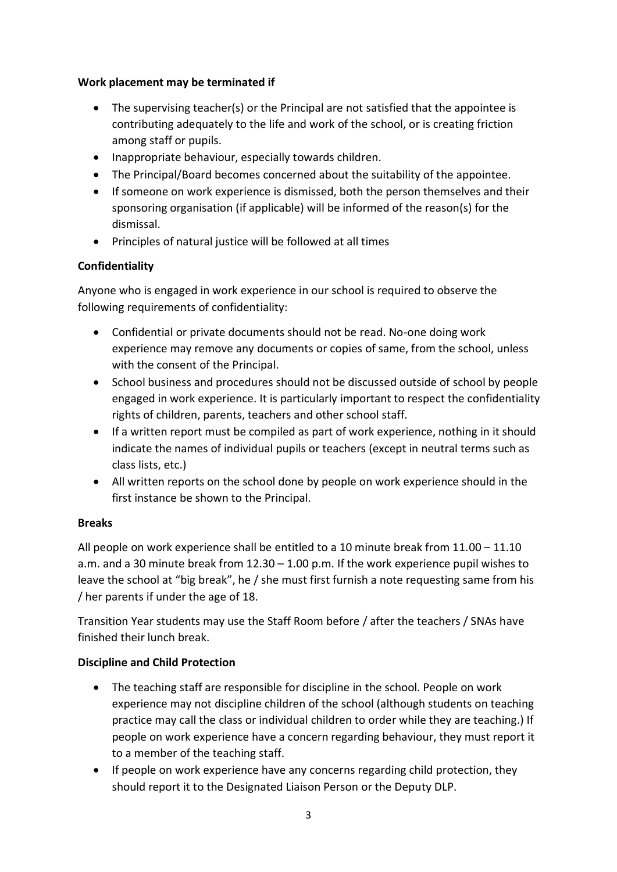### **Work placement may be terminated if**

- The supervising teacher(s) or the Principal are not satisfied that the appointee is contributing adequately to the life and work of the school, or is creating friction among staff or pupils.
- Inappropriate behaviour, especially towards children.
- The Principal/Board becomes concerned about the suitability of the appointee.
- If someone on work experience is dismissed, both the person themselves and their sponsoring organisation (if applicable) will be informed of the reason(s) for the dismissal.
- Principles of natural justice will be followed at all times

## **Confidentiality**

Anyone who is engaged in work experience in our school is required to observe the following requirements of confidentiality:

- Confidential or private documents should not be read. No-one doing work experience may remove any documents or copies of same, from the school, unless with the consent of the Principal.
- School business and procedures should not be discussed outside of school by people engaged in work experience. It is particularly important to respect the confidentiality rights of children, parents, teachers and other school staff.
- If a written report must be compiled as part of work experience, nothing in it should indicate the names of individual pupils or teachers (except in neutral terms such as class lists, etc.)
- All written reports on the school done by people on work experience should in the first instance be shown to the Principal.

## **Breaks**

All people on work experience shall be entitled to a 10 minute break from 11.00 – 11.10 a.m. and a 30 minute break from 12.30 – 1.00 p.m. If the work experience pupil wishes to leave the school at "big break", he / she must first furnish a note requesting same from his / her parents if under the age of 18.

Transition Year students may use the Staff Room before / after the teachers / SNAs have finished their lunch break.

## **Discipline and Child Protection**

- The teaching staff are responsible for discipline in the school. People on work experience may not discipline children of the school (although students on teaching practice may call the class or individual children to order while they are teaching.) If people on work experience have a concern regarding behaviour, they must report it to a member of the teaching staff.
- If people on work experience have any concerns regarding child protection, they should report it to the Designated Liaison Person or the Deputy DLP.